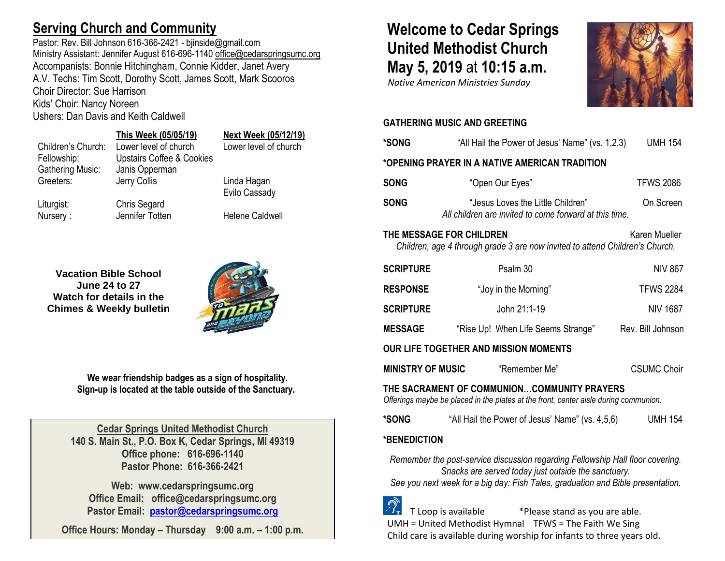# **Serving Church and Community**

Pastor: Rev. Bill Johnson 616-366-2421 - bjinside@gmail.com Ministry Assistant: Jennifer August 616-696-1140 [office@cedarspringsumc.org](mailto:office@cedarspringsumc.org) Accompanists: Bonnie Hitchingham, Connie Kidder, Janet Avery A.V. Techs: Tim Scott, Dorothy Scott, James Scott, Mark Scooros Choir Director: Sue Harrison Kids' Choir: Nancy Noreen Ushers: Dan Davis and Keith Caldwell

## **This Week (05/05/19) Next Week (05/12/19)** Children's Church: Lower level of church Lower level of church Fellowship: Upstairs Coffee & Cookies Greeters: Jerry Collis **Linda Hagan** Evilo Cassady

Nursery : Jennifer Totten Helene Caldwell

**Vacation Bible School June 24 to 27 Watch for details in the Chimes & Weekly bulletin**

Gathering Music: Janis Opperman

Liturgist: Chris Segard



**We wear friendship badges as a sign of hospitality. Sign-up is located at the table outside of the Sanctuary.**

**Cedar Springs United Methodist Church 140 S. Main St., P.O. Box K, Cedar Springs, MI 49319 Office phone: 616-696-1140 Pastor Phone: 616-366-2421**

**Web: www.cedarspringsumc.org Office Email: office@cedarspringsumc.org Pastor Email: [pastor@cedarspringsumc.org](mailto:pastor@cedarspringsumc.org)**

**Office Hours: Monday – Thursday 9:00 a.m. – 1:00 p.m.**

# **Welcome to Cedar Springs United Methodist Church May 5, 2019** at **10:15 a.m.**

 *Native American Ministries Sunday*



### **GATHERING MUSIC AND GREETING**

| *SONG                                                                                                                                                                                                                                    | "All Hail the Power of Jesus' Name" (vs. 1,2,3)                                             | <b>UMH 154</b>     |  |  |
|------------------------------------------------------------------------------------------------------------------------------------------------------------------------------------------------------------------------------------------|---------------------------------------------------------------------------------------------|--------------------|--|--|
| *OPENING PRAYER IN A NATIVE AMERICAN TRADITION                                                                                                                                                                                           |                                                                                             |                    |  |  |
| <b>SONG</b>                                                                                                                                                                                                                              | "Open Our Eyes"                                                                             | <b>TFWS 2086</b>   |  |  |
| <b>SONG</b>                                                                                                                                                                                                                              | "Jesus Loves the Little Children"<br>All children are invited to come forward at this time. | On Screen          |  |  |
| THE MESSAGE FOR CHILDREN<br>Karen Mueller<br>Children, age 4 through grade 3 are now invited to attend Children's Church.                                                                                                                |                                                                                             |                    |  |  |
| <b>SCRIPTURE</b>                                                                                                                                                                                                                         | Psalm 30                                                                                    | <b>NIV 867</b>     |  |  |
| <b>RESPONSE</b>                                                                                                                                                                                                                          | "Joy in the Morning"                                                                        | <b>TFWS 2284</b>   |  |  |
| <b>SCRIPTURE</b>                                                                                                                                                                                                                         | John 21:1-19                                                                                | <b>NIV 1687</b>    |  |  |
| <b>MESSAGE</b>                                                                                                                                                                                                                           | "Rise Up! When Life Seems Strange"                                                          | Rev. Bill Johnson  |  |  |
| <b>OUR LIFE TOGETHER AND MISSION MOMENTS</b>                                                                                                                                                                                             |                                                                                             |                    |  |  |
| <b>MINISTRY OF MUSIC</b>                                                                                                                                                                                                                 | "Remember Me"                                                                               | <b>CSUMC Choir</b> |  |  |
| THE SACRAMENT OF COMMUNIONCOMMUNITY PRAYERS<br>Offerings maybe be placed in the plates at the front, center aisle during communion.                                                                                                      |                                                                                             |                    |  |  |
| *SONG                                                                                                                                                                                                                                    | "All Hail the Power of Jesus' Name" (vs. 4,5,6)                                             | <b>UMH 154</b>     |  |  |
| *BENEDICTION                                                                                                                                                                                                                             |                                                                                             |                    |  |  |
| Remember the post-service discussion regarding Fellowship Hall floor covering.<br>Snacks are served today just outside the sanctuary.<br>See you next week for a big day: Fish Tales, graduation and Bible presentation.<br>$\mathbb{Z}$ |                                                                                             |                    |  |  |

 $\mathbb{Z}_7$  T Loop is available  $\mathbb{Z}_7$  \*Please stand as you are able. UMH = United Methodist Hymnal TFWS = The Faith We Sing Child care is available during worship for infants to three years old.